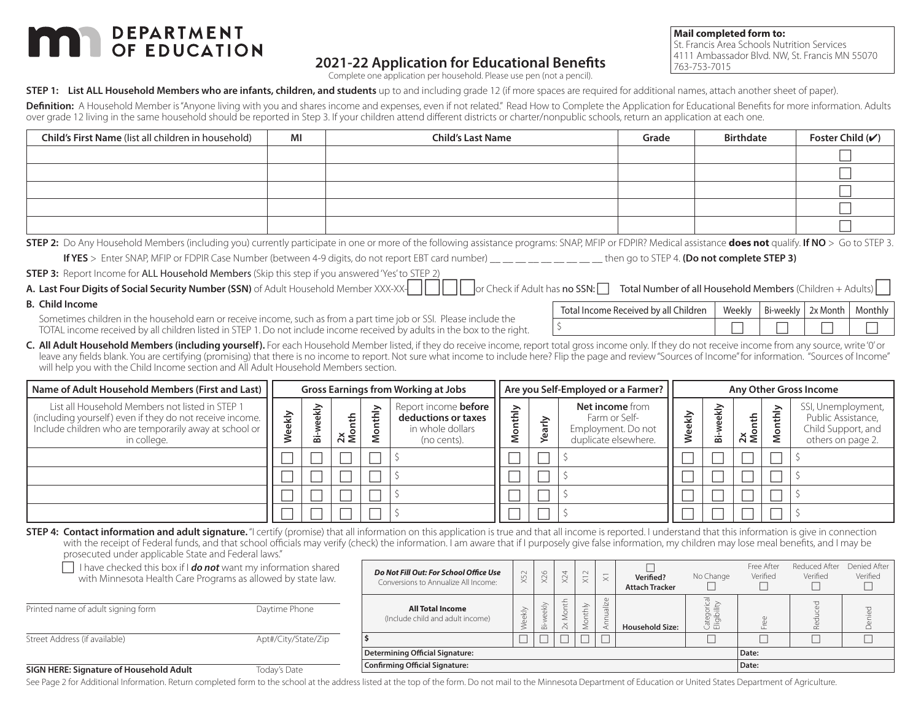# **DEPARTMENT**

## **2021-22 Application for Educational Benefits**

Complete one application per household. Please use pen (not a pencil).

**Mail completed form to:**

**lor Check if Adult has no SSN: The Total Number of all Household Members (Children + Adults)** 

Total Income Received by all Children  $\parallel$  Weekly  $\parallel$  Bi-weekly  $\parallel$  2x Month  $\parallel$  Monthly \$

St. Francis Area Schools Nutrition Services 4111 Ambassador Blvd. NW, St. Francis MN 55070 763-753-7015

**STEP 1:** List ALL Household Members who are infants, children, and students up to and including grade 12 (if more spaces are required for additional names, attach another sheet of paper).

Definition: A Household Member is "Anyone living with you and shares income and expenses, even if not related." Read How to Complete the Application for Educational Benefits for more information. Adults over grade 12 living in the same household should be reported in Step 3. If your children attend different districts or charter/nonpublic schools, return an application at each one.

| Child's First Name (list all children in household) | MI | <b>Child's Last Name</b> | Grade | <b>Birthdate</b> | Foster Child $(V)$ |
|-----------------------------------------------------|----|--------------------------|-------|------------------|--------------------|
|                                                     |    |                          |       |                  |                    |
|                                                     |    |                          |       |                  |                    |
|                                                     |    |                          |       |                  |                    |
|                                                     |    |                          |       |                  |                    |
|                                                     |    |                          |       |                  |                    |

**STEP 2:** Do Any Household Members (including you) currently participate in one or more of the following assistance programs: SNAP, MFIP or FDPIR? Medical assistance **does not** qualify. **If NO** > Go to STEP 3.

**If YES** > Enter SNAP, MFIP or FDPIR Case Number (between 4-9 digits, do not report EBT card number) \_\_ \_\_ \_\_ \_\_ \_\_ \_\_ \_\_ \_\_ \_\_ then go to STEP 4. **(Do not complete STEP 3)**

**STEP 3:** Report Income for ALL Household Members (Skip this step if you answered 'Yes' to STEP 2)

| A. Last Four Digits of Social Security Number (SSN) of Adult Household Member XXX-XX |  |
|--------------------------------------------------------------------------------------|--|
|--------------------------------------------------------------------------------------|--|

**B. Child Income**

Sometimes children in the household earn or receive income, such as from a part time job or SSI. Please include the TOTAL income received by all children listed in STEP 1. Do not include income received by adults in the box to the right.

**C. All Adult Household Members (including yourself).** For each Household Member listed, if they do receive income, report total gross income only. If they do not receive income from any source, write '0' or leave any fields blank. You are certifying (promising) that there is no income to report. Not sure what income to include here? Flip the page and review "Sources of Income" for information. "Sources of Income" will help you with the Child Income section and All Adult Household Members section.

| Name of Adult Household Members (First and Last)                                                                                                                                     | <b>Gross Earnings from Working at Jobs</b> |        |                      | Are you Self-Employed or a Farmer? |                                                                                       |        |   | Any Other Gross Income                                                         |          |          |                         |   |                                                                                     |
|--------------------------------------------------------------------------------------------------------------------------------------------------------------------------------------|--------------------------------------------|--------|----------------------|------------------------------------|---------------------------------------------------------------------------------------|--------|---|--------------------------------------------------------------------------------|----------|----------|-------------------------|---|-------------------------------------------------------------------------------------|
| List all Household Members not listed in STEP 1<br>(including yourself) even if they do not receive income.<br>Include children who are temporarily away at school or<br>in college. | ਤੇ<br>$\omega$                             | 홍<br>窗 | 운<br>$\frac{2x}{20}$ | ≥<br>÷                             | Report income <b>before</b><br>deductions or taxes<br>in whole dollars<br>(no cents). | ⋋<br>옾 | ā | Net income from<br>Farm or Self-<br>Employment. Do not<br>duplicate elsewhere. | <u>う</u> | еkļ<br>窗 | ÷.<br>$\frac{2x}{M$ on' | ≧ | SSI, Unemployment,<br>Public Assistance,<br>Child Support, and<br>others on page 2. |
|                                                                                                                                                                                      |                                            |        |                      |                                    |                                                                                       |        |   |                                                                                |          |          |                         |   |                                                                                     |
|                                                                                                                                                                                      |                                            |        |                      |                                    |                                                                                       |        |   |                                                                                |          |          |                         |   |                                                                                     |
|                                                                                                                                                                                      |                                            |        |                      |                                    |                                                                                       |        |   |                                                                                |          |          |                         |   |                                                                                     |
|                                                                                                                                                                                      |                                            |        |                      |                                    |                                                                                       |        |   |                                                                                |          |          |                         |   |                                                                                     |

**STEP 4: Contact information and adult signature.** "I certify (promise) that all information on this application is true and that all income is reported. I understand that this information is give in connection with the receipt of Federal funds, and that school officials may verify (check) the information. I am aware that if I purposely give false information, my children may lose meal benefits, and I may be prosecuted under applicable State and Federal laws."

| prosecuted under applicable state and redefal laws.                                                                            |                     |                                                                                |           |                                  |     |                                                |          |                                    |            |                        |                           |                          |
|--------------------------------------------------------------------------------------------------------------------------------|---------------------|--------------------------------------------------------------------------------|-----------|----------------------------------|-----|------------------------------------------------|----------|------------------------------------|------------|------------------------|---------------------------|--------------------------|
| I have checked this box if I do not want my information shared<br>with Minnesota Health Care Programs as allowed by state law. |                     | Do Not Fill Out: For School Office Use<br>Conversions to Annualize All Income: | X52       | X26                              | X24 | $\sim$<br>$\overline{\phantom{0}}$<br>$\times$ | $\times$ | Verified?<br><b>Attach Tracker</b> | No Change  | Free After<br>Verified | Reduced After<br>Verified | Denied After<br>Verified |
| Printed name of adult signing form                                                                                             | Daytime Phone       | <b>All Total Income</b><br>(Include child and adult income)                    | $\hat{ }$ | $\Rightarrow$<br>$\ddot{\varpi}$ | も   | $\geq$                                         |          | <b>Household Size:</b>             | 한 프<br>9 ニ |                        |                           |                          |
| Street Address (if available)                                                                                                  | Apt#/City/State/Zip |                                                                                |           | $\Box$                           |     |                                                |          |                                    |            |                        |                           |                          |
|                                                                                                                                |                     | Determining Official Signature:                                                |           |                                  |     |                                                |          |                                    |            | Date:                  |                           |                          |
| SIGN HERE: Signature of Household Adult                                                                                        | Todav's Date        | Confirming Official Signature:                                                 |           |                                  |     |                                                |          |                                    |            | Date:                  |                           |                          |

See Page 2 for Additional Information. Return completed form to the school at the address listed at the top of the form. Do not mail to the Minnesota Department of Education or United States Department of Agriculture.